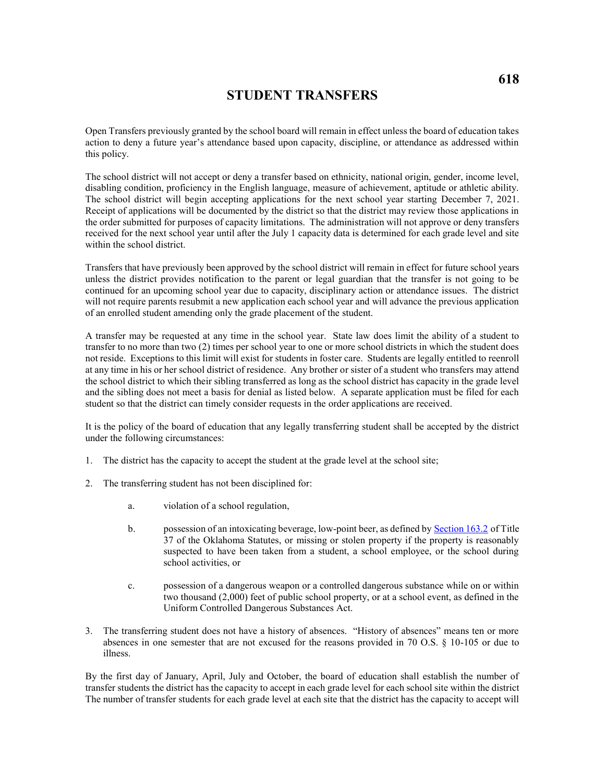## **STUDENT TRANSFERS**

Open Transfers previously granted by the school board will remain in effect unless the board of education takes action to deny a future year's attendance based upon capacity, discipline, or attendance as addressed within this policy.

The school district will not accept or deny a transfer based on ethnicity, national origin, gender, income level, disabling condition, proficiency in the English language, measure of achievement, aptitude or athletic ability. The school district will begin accepting applications for the next school year starting December 7, 2021. Receipt of applications will be documented by the district so that the district may review those applications in the order submitted for purposes of capacity limitations. The administration will not approve or deny transfers received for the next school year until after the July 1 capacity data is determined for each grade level and site within the school district.

Transfers that have previously been approved by the school district will remain in effect for future school years unless the district provides notification to the parent or legal guardian that the transfer is not going to be continued for an upcoming school year due to capacity, disciplinary action or attendance issues. The district will not require parents resubmit a new application each school year and will advance the previous application of an enrolled student amending only the grade placement of the student.

A transfer may be requested at any time in the school year. State law does limit the ability of a student to transfer to no more than two (2) times per school year to one or more school districts in which the student does not reside. Exceptions to this limit will exist for students in foster care. Students are legally entitled to reenroll at any time in his or her school district of residence. Any brother or sister of a student who transfers may attend the school district to which their sibling transferred as long as the school district has capacity in the grade level and the sibling does not meet a basis for denial as listed below. A separate application must be filed for each student so that the district can timely consider requests in the order applications are received.

It is the policy of the board of education that any legally transferring student shall be accepted by the district under the following circumstances:

- 1. The district has the capacity to accept the student at the grade level at the school site;
- 2. The transferring student has not been disciplined for:
	- a. violation of a school regulation,
	- b. possession of an intoxicating beverage, low-point beer, as defined by [Section 163.2](https://www.oscn.net/applications/oscn/DeliverDocument.asp?citeid=77990) of Title 37 of the Oklahoma Statutes, or missing or stolen property if the property is reasonably suspected to have been taken from a student, a school employee, or the school during school activities, or
	- c. possession of a dangerous weapon or a controlled dangerous substance while on or within two thousand (2,000) feet of public school property, or at a school event, as defined in the Uniform Controlled Dangerous Substances Act.
- 3. The transferring student does not have a history of absences. "History of absences" means ten or more absences in one semester that are not excused for the reasons provided in 70 O.S. § 10-105 or due to illness.

By the first day of January, April, July and October, the board of education shall establish the number of transfer students the district has the capacity to accept in each grade level for each school site within the district The number of transfer students for each grade level at each site that the district has the capacity to accept will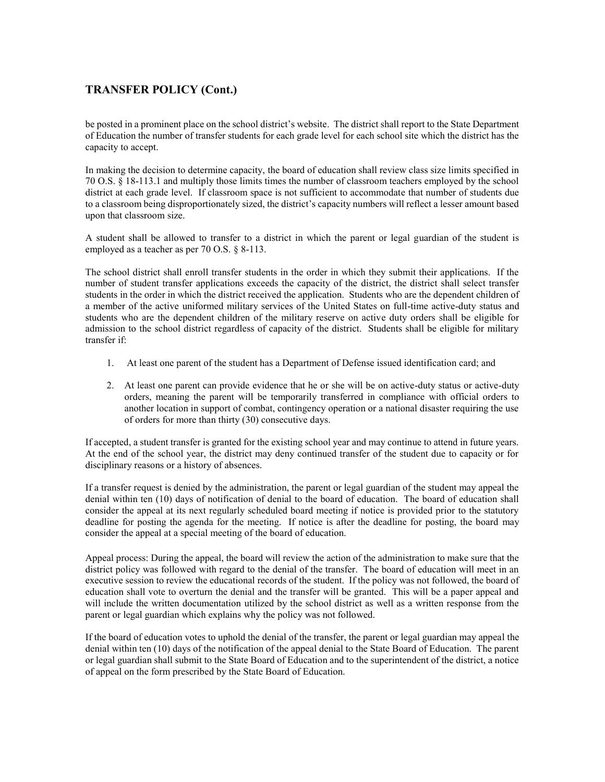## **TRANSFER POLICY (Cont.)**

be posted in a prominent place on the school district's website. The district shall report to the State Department of Education the number of transfer students for each grade level for each school site which the district has the capacity to accept.

In making the decision to determine capacity, the board of education shall review class size limits specified in 70 O.S. § 18-113.1 and multiply those limits times the number of classroom teachers employed by the school district at each grade level. If classroom space is not sufficient to accommodate that number of students due to a classroom being disproportionately sized, the district's capacity numbers will reflect a lesser amount based upon that classroom size.

A student shall be allowed to transfer to a district in which the parent or legal guardian of the student is employed as a teacher as per 70 O.S. § 8-113.

The school district shall enroll transfer students in the order in which they submit their applications. If the number of student transfer applications exceeds the capacity of the district, the district shall select transfer students in the order in which the district received the application. Students who are the dependent children of a member of the active uniformed military services of the United States on full-time active-duty status and students who are the dependent children of the military reserve on active duty orders shall be eligible for admission to the school district regardless of capacity of the district. Students shall be eligible for military transfer if:

- 1. At least one parent of the student has a Department of Defense issued identification card; and
- 2. At least one parent can provide evidence that he or she will be on active-duty status or active-duty orders, meaning the parent will be temporarily transferred in compliance with official orders to another location in support of combat, contingency operation or a national disaster requiring the use of orders for more than thirty (30) consecutive days.

If accepted, a student transfer is granted for the existing school year and may continue to attend in future years. At the end of the school year, the district may deny continued transfer of the student due to capacity or for disciplinary reasons or a history of absences.

If a transfer request is denied by the administration, the parent or legal guardian of the student may appeal the denial within ten (10) days of notification of denial to the board of education. The board of education shall consider the appeal at its next regularly scheduled board meeting if notice is provided prior to the statutory deadline for posting the agenda for the meeting. If notice is after the deadline for posting, the board may consider the appeal at a special meeting of the board of education.

Appeal process: During the appeal, the board will review the action of the administration to make sure that the district policy was followed with regard to the denial of the transfer. The board of education will meet in an executive session to review the educational records of the student. If the policy was not followed, the board of education shall vote to overturn the denial and the transfer will be granted. This will be a paper appeal and will include the written documentation utilized by the school district as well as a written response from the parent or legal guardian which explains why the policy was not followed.

If the board of education votes to uphold the denial of the transfer, the parent or legal guardian may appeal the denial within ten (10) days of the notification of the appeal denial to the State Board of Education. The parent or legal guardian shall submit to the State Board of Education and to the superintendent of the district, a notice of appeal on the form prescribed by the State Board of Education.